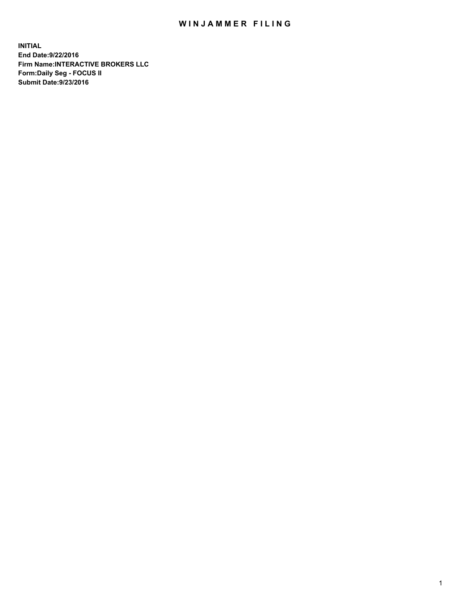## WIN JAMMER FILING

**INITIAL End Date:9/22/2016 Firm Name:INTERACTIVE BROKERS LLC Form:Daily Seg - FOCUS II Submit Date:9/23/2016**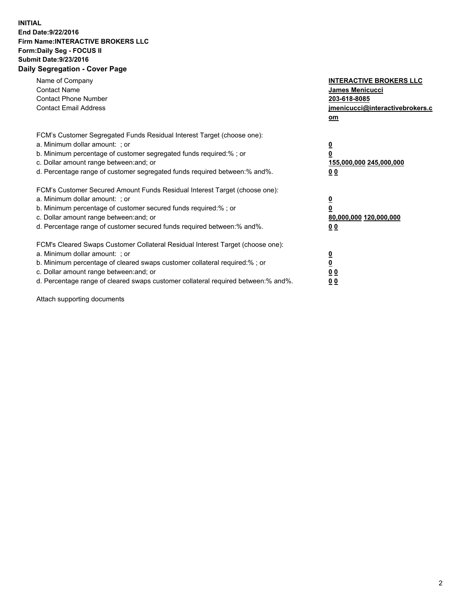## **INITIAL End Date:9/22/2016 Firm Name:INTERACTIVE BROKERS LLC Form:Daily Seg - FOCUS II Submit Date:9/23/2016 Daily Segregation - Cover Page**

| Name of Company<br><b>Contact Name</b><br><b>Contact Phone Number</b><br><b>Contact Email Address</b>                                                                                                                                                                                                                          | <b>INTERACTIVE BROKERS LLC</b><br>James Menicucci<br>203-618-8085<br>jmenicucci@interactivebrokers.c<br>om |
|--------------------------------------------------------------------------------------------------------------------------------------------------------------------------------------------------------------------------------------------------------------------------------------------------------------------------------|------------------------------------------------------------------------------------------------------------|
| FCM's Customer Segregated Funds Residual Interest Target (choose one):<br>a. Minimum dollar amount: ; or<br>b. Minimum percentage of customer segregated funds required:%; or<br>c. Dollar amount range between: and; or<br>d. Percentage range of customer segregated funds required between:% and%.                          | $\overline{\mathbf{0}}$<br>0<br>155,000,000 245,000,000<br>0 <sub>0</sub>                                  |
| FCM's Customer Secured Amount Funds Residual Interest Target (choose one):<br>a. Minimum dollar amount: ; or<br>b. Minimum percentage of customer secured funds required:%; or<br>c. Dollar amount range between: and; or<br>d. Percentage range of customer secured funds required between:% and%.                            | $\overline{\mathbf{0}}$<br>$\overline{\mathbf{0}}$<br>80,000,000 120,000,000<br>00                         |
| FCM's Cleared Swaps Customer Collateral Residual Interest Target (choose one):<br>a. Minimum dollar amount: ; or<br>b. Minimum percentage of cleared swaps customer collateral required:% ; or<br>c. Dollar amount range between: and; or<br>d. Percentage range of cleared swaps customer collateral required between:% and%. | $\overline{\mathbf{0}}$<br>$\overline{\mathbf{0}}$<br>0 <sub>0</sub><br><u>00</u>                          |

Attach supporting documents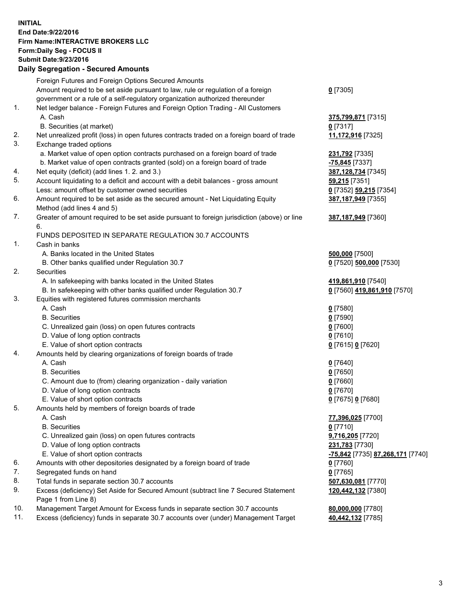## **INITIAL End Date:9/22/2016 Firm Name:INTERACTIVE BROKERS LLC Form:Daily Seg - FOCUS II Submit Date:9/23/2016 Daily Segregation - Secured Amounts**

|     | Daily Ocglegation - Occarea Anioants                                                        |                                  |
|-----|---------------------------------------------------------------------------------------------|----------------------------------|
|     | Foreign Futures and Foreign Options Secured Amounts                                         |                                  |
|     | Amount required to be set aside pursuant to law, rule or regulation of a foreign            | $0$ [7305]                       |
|     | government or a rule of a self-regulatory organization authorized thereunder                |                                  |
| 1.  | Net ledger balance - Foreign Futures and Foreign Option Trading - All Customers             |                                  |
|     | A. Cash                                                                                     | 375,799,871 [7315]               |
|     | B. Securities (at market)                                                                   | $0$ [7317]                       |
| 2.  | Net unrealized profit (loss) in open futures contracts traded on a foreign board of trade   | 11,172,916 [7325]                |
| 3.  | Exchange traded options                                                                     |                                  |
|     | a. Market value of open option contracts purchased on a foreign board of trade              | 231,792 [7335]                   |
|     | b. Market value of open contracts granted (sold) on a foreign board of trade                | -75,845 [7337]                   |
| 4.  | Net equity (deficit) (add lines 1.2. and 3.)                                                | 387,128,734 [7345]               |
| 5.  | Account liquidating to a deficit and account with a debit balances - gross amount           | 59,215 [7351]                    |
|     | Less: amount offset by customer owned securities                                            | 0 [7352] 59,215 [7354]           |
| 6.  | Amount required to be set aside as the secured amount - Net Liquidating Equity              | 387,187,949 [7355]               |
|     | Method (add lines 4 and 5)                                                                  |                                  |
| 7.  |                                                                                             |                                  |
|     | Greater of amount required to be set aside pursuant to foreign jurisdiction (above) or line | 387,187,949 [7360]               |
|     | 6.                                                                                          |                                  |
|     | FUNDS DEPOSITED IN SEPARATE REGULATION 30.7 ACCOUNTS                                        |                                  |
| 1.  | Cash in banks                                                                               |                                  |
|     | A. Banks located in the United States                                                       | 500,000 [7500]                   |
|     | B. Other banks qualified under Regulation 30.7                                              | 0 [7520] 500,000 [7530]          |
| 2.  | Securities                                                                                  |                                  |
|     | A. In safekeeping with banks located in the United States                                   | 419,861,910 [7540]               |
|     | B. In safekeeping with other banks qualified under Regulation 30.7                          | 0 [7560] 419,861,910 [7570]      |
| 3.  | Equities with registered futures commission merchants                                       |                                  |
|     | A. Cash                                                                                     | $0$ [7580]                       |
|     | <b>B.</b> Securities                                                                        | $0$ [7590]                       |
|     | C. Unrealized gain (loss) on open futures contracts                                         | $0$ [7600]                       |
|     | D. Value of long option contracts                                                           | $0$ [7610]                       |
|     | E. Value of short option contracts                                                          | 0 [7615] 0 [7620]                |
| 4.  | Amounts held by clearing organizations of foreign boards of trade                           |                                  |
|     | A. Cash                                                                                     | $0$ [7640]                       |
|     | <b>B.</b> Securities                                                                        | $0$ [7650]                       |
|     | C. Amount due to (from) clearing organization - daily variation                             | $0$ [7660]                       |
|     | D. Value of long option contracts                                                           | $0$ [7670]                       |
|     | E. Value of short option contracts                                                          | 0 [7675] 0 [7680]                |
| 5.  | Amounts held by members of foreign boards of trade                                          |                                  |
|     | A. Cash                                                                                     | 77,396,025 [7700]                |
|     | <b>B.</b> Securities                                                                        | $0$ [7710]                       |
|     | C. Unrealized gain (loss) on open futures contracts                                         | 9,716,205 [7720]                 |
|     | D. Value of long option contracts                                                           | 231,783 [7730]                   |
|     | E. Value of short option contracts                                                          | -75,842 [7735] 87,268,171 [7740] |
| 6.  | Amounts with other depositories designated by a foreign board of trade                      | 0 [7760]                         |
| 7.  | Segregated funds on hand                                                                    | $0$ [7765]                       |
| 8.  | Total funds in separate section 30.7 accounts                                               | 507,630,081 [7770]               |
| 9.  | Excess (deficiency) Set Aside for Secured Amount (subtract line 7 Secured Statement         | 120,442,132 [7380]               |
|     | Page 1 from Line 8)                                                                         |                                  |
| 10. | Management Target Amount for Excess funds in separate section 30.7 accounts                 | 80,000,000 [7780]                |
| 11. | Excess (deficiency) funds in separate 30.7 accounts over (under) Management Target          | 40,442,132 [7785]                |
|     |                                                                                             |                                  |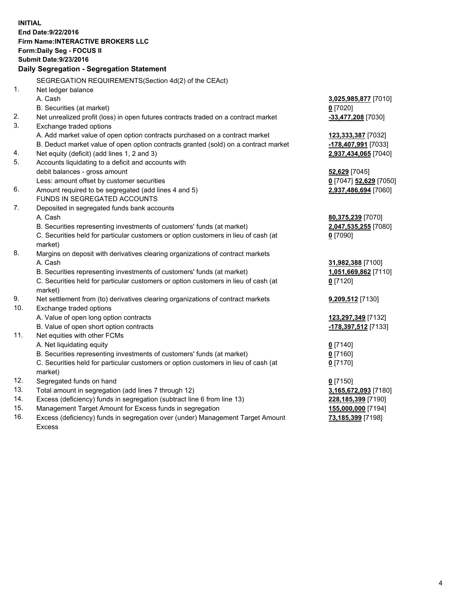**INITIAL End Date:9/22/2016 Firm Name:INTERACTIVE BROKERS LLC Form:Daily Seg - FOCUS II Submit Date:9/23/2016 Daily Segregation - Segregation Statement** SEGREGATION REQUIREMENTS(Section 4d(2) of the CEAct) 1. Net ledger balance A. Cash **3,025,985,877** [7010] B. Securities (at market) **0** [7020] 2. Net unrealized profit (loss) in open futures contracts traded on a contract market **-33,477,208** [7030] 3. Exchange traded options A. Add market value of open option contracts purchased on a contract market **123,333,387** [7032] B. Deduct market value of open option contracts granted (sold) on a contract market **-178,407,991** [7033] 4. Net equity (deficit) (add lines 1, 2 and 3) **2,937,434,065** [7040] 5. Accounts liquidating to a deficit and accounts with debit balances - gross amount **52,629** [7045] Less: amount offset by customer securities **0** [7047] **52,629** [7050] 6. Amount required to be segregated (add lines 4 and 5) **2,937,486,694** [7060] FUNDS IN SEGREGATED ACCOUNTS 7. Deposited in segregated funds bank accounts A. Cash **80,375,239** [7070] B. Securities representing investments of customers' funds (at market) **2,047,535,255** [7080] C. Securities held for particular customers or option customers in lieu of cash (at market) **0** [7090] 8. Margins on deposit with derivatives clearing organizations of contract markets A. Cash **31,982,388** [7100] B. Securities representing investments of customers' funds (at market) **1,051,669,862** [7110] C. Securities held for particular customers or option customers in lieu of cash (at market) **0** [7120] 9. Net settlement from (to) derivatives clearing organizations of contract markets **9,209,512** [7130] 10. Exchange traded options A. Value of open long option contracts **123,297,349** [7132] B. Value of open short option contracts **-178,397,512** [7133] 11. Net equities with other FCMs A. Net liquidating equity **0** [7140] B. Securities representing investments of customers' funds (at market) **0** [7160] C. Securities held for particular customers or option customers in lieu of cash (at market) **0** [7170] 12. Segregated funds on hand **0** [7150] 13. Total amount in segregation (add lines 7 through 12) **3,165,672,093** [7180] 14. Excess (deficiency) funds in segregation (subtract line 6 from line 13) **228,185,399** [7190] 15. Management Target Amount for Excess funds in segregation **155,000,000** [7194] **73,185,399** [7198]

16. Excess (deficiency) funds in segregation over (under) Management Target Amount Excess

4